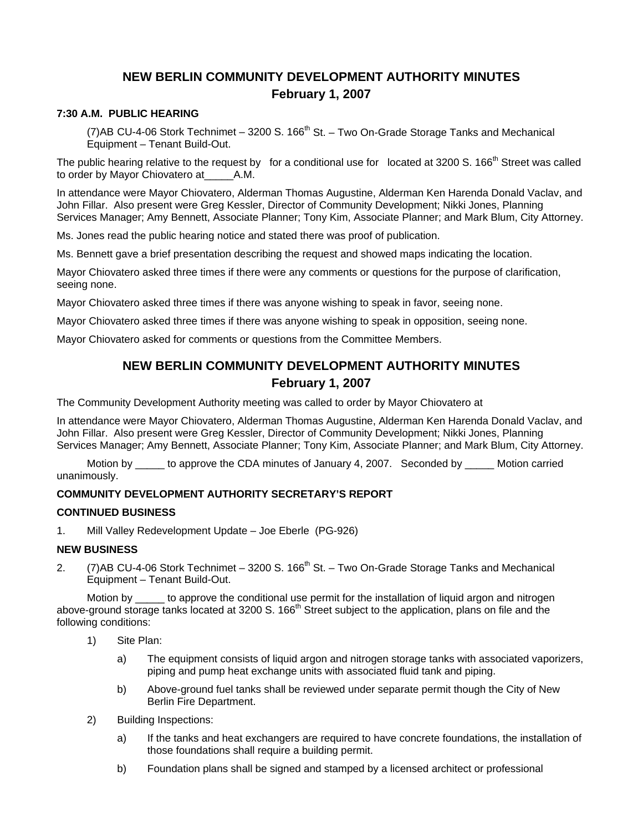# **NEW BERLIN COMMUNITY DEVELOPMENT AUTHORITY MINUTES February 1, 2007**

#### **7:30 A.M. PUBLIC HEARING**

(7)AB CU-4-06 Stork Technimet – 3200 S. 166 $^{\text{th}}$  St. – Two On-Grade Storage Tanks and Mechanical Equipment – Tenant Build-Out.

The public hearing relative to the request by for a conditional use for located at 3200 S. 166<sup>th</sup> Street was called to order by Mayor Chiovatero at\_\_\_\_\_A.M.

In attendance were Mayor Chiovatero, Alderman Thomas Augustine, Alderman Ken Harenda Donald Vaclav, and John Fillar. Also present were Greg Kessler, Director of Community Development; Nikki Jones, Planning Services Manager; Amy Bennett, Associate Planner; Tony Kim, Associate Planner; and Mark Blum, City Attorney.

Ms. Jones read the public hearing notice and stated there was proof of publication.

Ms. Bennett gave a brief presentation describing the request and showed maps indicating the location.

Mayor Chiovatero asked three times if there were any comments or questions for the purpose of clarification, seeing none.

Mayor Chiovatero asked three times if there was anyone wishing to speak in favor, seeing none.

Mayor Chiovatero asked three times if there was anyone wishing to speak in opposition, seeing none.

Mayor Chiovatero asked for comments or questions from the Committee Members.

## **NEW BERLIN COMMUNITY DEVELOPMENT AUTHORITY MINUTES February 1, 2007**

The Community Development Authority meeting was called to order by Mayor Chiovatero at

In attendance were Mayor Chiovatero, Alderman Thomas Augustine, Alderman Ken Harenda Donald Vaclav, and John Fillar. Also present were Greg Kessler, Director of Community Development; Nikki Jones, Planning Services Manager; Amy Bennett, Associate Planner; Tony Kim, Associate Planner; and Mark Blum, City Attorney.

Motion by do approve the CDA minutes of January 4, 2007. Seconded by Motion carried unanimously.

#### **COMMUNITY DEVELOPMENT AUTHORITY SECRETARY'S REPORT**

#### **CONTINUED BUSINESS**

1. Mill Valley Redevelopment Update – Joe Eberle (PG-926)

#### **NEW BUSINESS**

2. (7)AB CU-4-06 Stork Technimet – 3200 S. 166<sup>th</sup> St. – Two On-Grade Storage Tanks and Mechanical Equipment – Tenant Build-Out.

Motion by to approve the conditional use permit for the installation of liquid argon and nitrogen above-ground storage tanks located at 3200 S. 166<sup>th</sup> Street subject to the application, plans on file and the following conditions:

- 1) Site Plan:
	- a) The equipment consists of liquid argon and nitrogen storage tanks with associated vaporizers, piping and pump heat exchange units with associated fluid tank and piping.
	- b) Above-ground fuel tanks shall be reviewed under separate permit though the City of New Berlin Fire Department.
- 2) Building Inspections:
	- a) If the tanks and heat exchangers are required to have concrete foundations, the installation of those foundations shall require a building permit.
	- b) Foundation plans shall be signed and stamped by a licensed architect or professional